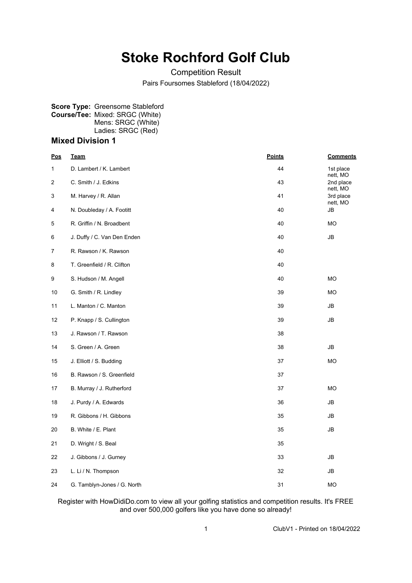## **Stoke Rochford Golf Club**

Competition Result

Pairs Foursomes Stableford (18/04/2022)

## **Score Type:** Greensome Stableford **Course/Tee:** Mixed: SRGC (White) Mens: SRGC (White) Ladies: SRGC (Red)

## **Mixed Division 1**

| <u>Pos</u>     | <b>Team</b>                 | <b>Points</b> | <b>Comments</b>       |
|----------------|-----------------------------|---------------|-----------------------|
| 1              | D. Lambert / K. Lambert     | 44            | 1st place<br>nett, MO |
| $\overline{c}$ | C. Smith / J. Edkins        | 43            | 2nd place<br>nett, MO |
| 3              | M. Harvey / R. Allan        | 41            | 3rd place<br>nett, MO |
| 4              | N. Doubleday / A. Footitt   | 40            | JB                    |
| 5              | R. Griffin / N. Broadbent   | 40            | MO                    |
| 6              | J. Duffy / C. Van Den Enden | 40            | JB                    |
| 7              | R. Rawson / K. Rawson       | 40            |                       |
| 8              | T. Greenfield / R. Clifton  | 40            |                       |
| 9              | S. Hudson / M. Angell       | 40            | <b>MO</b>             |
| 10             | G. Smith / R. Lindley       | 39            | <b>MO</b>             |
| 11             | L. Manton / C. Manton       | 39            | JB                    |
| 12             | P. Knapp / S. Cullington    | 39            | JB                    |
| 13             | J. Rawson / T. Rawson       | 38            |                       |
| 14             | S. Green / A. Green         | 38            | JB                    |
| 15             | J. Elliott / S. Budding     | 37            | MO                    |
| 16             | B. Rawson / S. Greenfield   | 37            |                       |
| 17             | B. Murray / J. Rutherford   | 37            | <b>MO</b>             |
| 18             | J. Purdy / A. Edwards       | 36            | JB                    |
| 19             | R. Gibbons / H. Gibbons     | 35            | JB                    |
| 20             | B. White / E. Plant         | 35            | JB                    |
| 21             | D. Wright / S. Beal         | 35            |                       |
| 22             | J. Gibbons / J. Gurney      | 33            | JB                    |
| 23             | L. Li / N. Thompson         | 32            | JB                    |
| 24             | G. Tamblyn-Jones / G. North | 31            | MO                    |

Register with HowDidiDo.com to view all your golfing statistics and competition results. It's FREE and over 500,000 golfers like you have done so already!